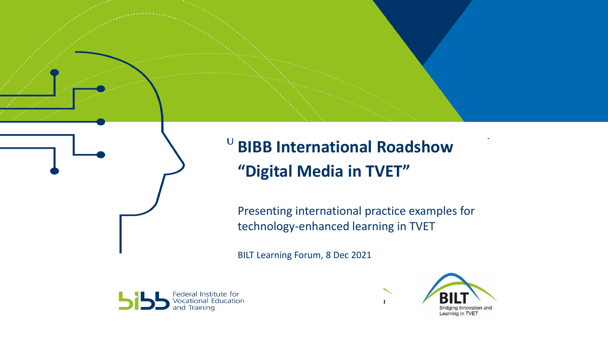

**BIBB International Roadshow "Digital Media in TVET"**

Presenting international practice examples for technology-enhanced learning in TVET

BILT Learning Forum, 8 Dec 2021





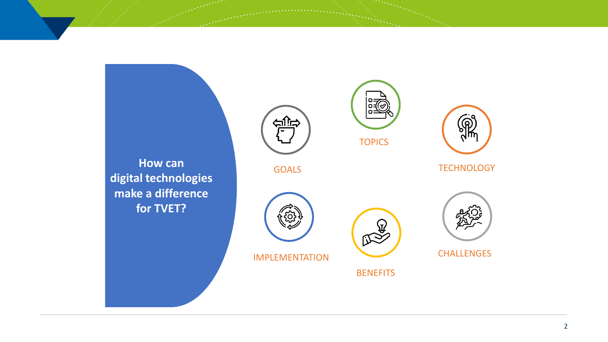<u>ے زرگ</u> **TOPICS How can TECHNOLOGY** GOALS **digital technologies make a difference for TVET?**   $\begin{picture}(120,10) \put(0,0){\line(1,0){155}} \put(15,0){\line(1,0){155}} \put(15,0){\line(1,0){155}} \put(15,0){\line(1,0){155}} \put(15,0){\line(1,0){155}} \put(15,0){\line(1,0){155}} \put(15,0){\line(1,0){155}} \put(15,0){\line(1,0){155}} \put(15,0){\line(1,0){155}} \put(15,0){\line(1,0){155}} \put(15,0){\line(1,0){155}}$ CHALLENGES IMPLEMENTATION**BENEFITS**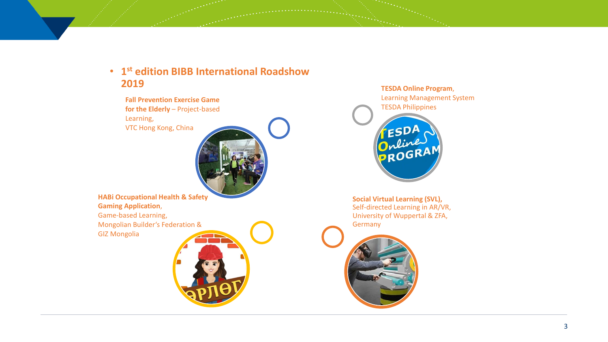## • **1 st edition BIBB International Roadshow 2019**

**Fall Prevention Exercise Game for the Elderly** – Project-based Learning, VTC Hong Kong, China



**HABi Occupational Health & Safety Gaming Application**, Game-based Learning, Mongolian Builder's Federation & GIZ Mongolia



**TESDA Online Program**, Learning Management System TESDA Philippines



**Social Virtual Learning (SVL),** Self-directed Learning in AR/VR, University of Wuppertal & ZFA, Germany

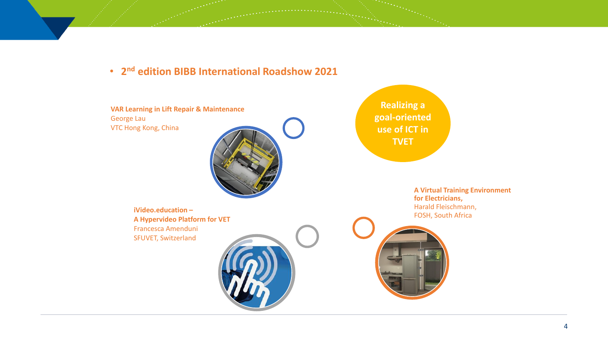• **2 nd edition BIBB International Roadshow 2021**

**VAR Learning in Lift Repair & Maintenance** George Lau VTC Hong Kong, China



**Realizing a goal-oriented use of ICT in TVET**

**iVideo.education – A Hypervideo Platform for VET** Francesca Amenduni SFUVET, Switzerland



**A Virtual Training Environment for Electricians,**  Harald Fleischmann, FOSH, South Africa